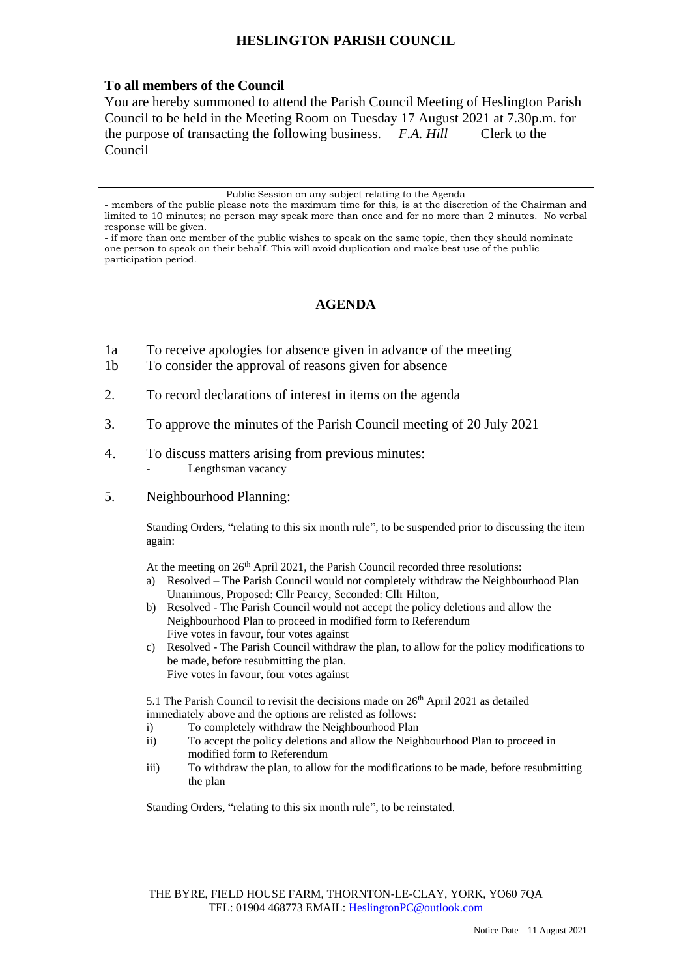## **HESLINGTON PARISH COUNCIL**

## **To all members of the Council**

You are hereby summoned to attend the Parish Council Meeting of Heslington Parish Council to be held in the Meeting Room on Tuesday 17 August 2021 at 7.30p.m. for the purpose of transacting the following business. *F.A. Hill* Clerk to the Council

Public Session on any subject relating to the Agenda

## **AGENDA**

- 1a To receive apologies for absence given in advance of the meeting
- 1b To consider the approval of reasons given for absence
- 2. To record declarations of interest in items on the agenda
- 3. To approve the minutes of the Parish Council meeting of 20 July 2021
- 4. To discuss matters arising from previous minutes: Lengthsman vacancy
- 5. Neighbourhood Planning:

Standing Orders, "relating to this six month rule", to be suspended prior to discussing the item again:

At the meeting on 26<sup>th</sup> April 2021, the Parish Council recorded three resolutions:

- a) Resolved The Parish Council would not completely withdraw the Neighbourhood Plan Unanimous, Proposed: Cllr Pearcy, Seconded: Cllr Hilton,
- b) Resolved The Parish Council would not accept the policy deletions and allow the Neighbourhood Plan to proceed in modified form to Referendum Five votes in favour, four votes against
- c) Resolved The Parish Council withdraw the plan, to allow for the policy modifications to be made, before resubmitting the plan. Five votes in favour, four votes against

5.1 The Parish Council to revisit the decisions made on 26<sup>th</sup> April 2021 as detailed immediately above and the options are relisted as follows:

- i) To completely withdraw the Neighbourhood Plan
- ii) To accept the policy deletions and allow the Neighbourhood Plan to proceed in modified form to Referendum
- iii) To withdraw the plan, to allow for the modifications to be made, before resubmitting the plan

Standing Orders, "relating to this six month rule", to be reinstated.

THE BYRE, FIELD HOUSE FARM, THORNTON-LE-CLAY, YORK, YO60 7QA TEL: 01904 468773 EMAIL: [HeslingtonPC@outlook.com](mailto:HeslingtonPC@outlook.com)

<sup>-</sup> members of the public please note the maximum time for this, is at the discretion of the Chairman and limited to 10 minutes; no person may speak more than once and for no more than 2 minutes. No verbal response will be given.

<sup>-</sup> if more than one member of the public wishes to speak on the same topic, then they should nominate one person to speak on their behalf. This will avoid duplication and make best use of the public participation period.